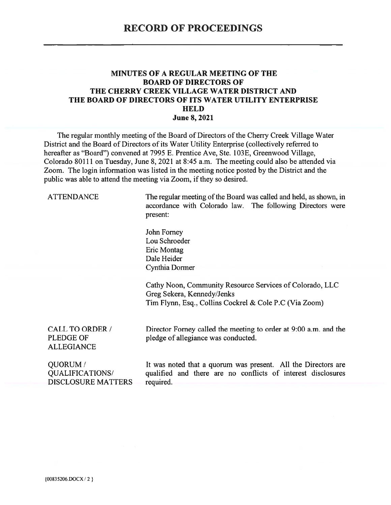#### MINUTES OF A REGULAR MEETING OF THE **BOARD OF DIRECTORS OF** THE CHERRY CREEK VILLAGE WATER DISTRICT AND THE BOARD OF DIRECTORS OF ITS WATER UTILITY ENTERPRISE **HELD June 8, 2021**

The regular monthly meeting of the Board of Directors of the Cherry Creek Village Water District and the Board of Directors of its Water Utility Enterprise (collectively referred to hereafter as "Board") convened at 7995 E. Prentice Ave, Ste. 103E, Greenwood Village, Colorado 80111 on Tuesday, June 8, 2021 at 8:45 a.m. The meeting could also be attended via Zoom. The login information was listed in the meeting notice posted by the District and the public was able to attend the meeting via Zoom, if they so desired.

| <b>ATTENDANCE</b>                                        | The regular meeting of the Board was called and held, as shown, in<br>accordance with Colorado law. The following Directors were<br>present:     |
|----------------------------------------------------------|--------------------------------------------------------------------------------------------------------------------------------------------------|
|                                                          | John Forney<br>Lou Schroeder<br>Eric Montag<br>Dale Heider<br>Cynthia Dormer                                                                     |
|                                                          | Cathy Noon, Community Resource Services of Colorado, LLC<br>Greg Sekera, Kennedy/Jenks<br>Tim Flynn, Esq., Collins Cockrel & Cole P.C (Via Zoom) |
| CALL TO ORDER /<br><b>PLEDGE OF</b><br><b>ALLEGIANCE</b> | Director Forney called the meeting to order at 9:00 a.m. and the<br>pledge of allegiance was conducted.                                          |
| QUORUM/<br>QUALIFICATIONS/<br><b>DISCLOSURE MATTERS</b>  | It was noted that a quorum was present. All the Directors are<br>qualified and there are no conflicts of interest disclosures<br>required.       |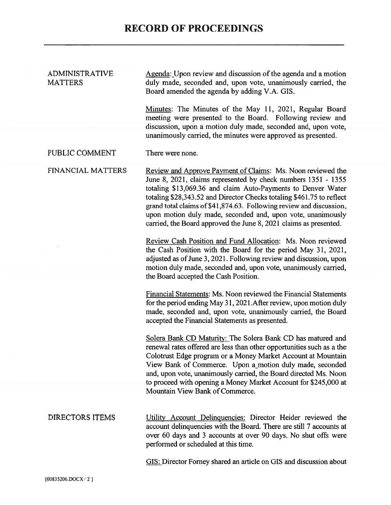| <b>ADMINISTRATIVE</b><br><b>MATTERS</b> | Agenda: Upon review and discussion of the agenda and a motion<br>duly made, seconded and, upon vote, unanimously carried, the<br>Board amended the agenda by adding V.A. GIS.                                                                                                                                                                                                                                                                                                    |
|-----------------------------------------|----------------------------------------------------------------------------------------------------------------------------------------------------------------------------------------------------------------------------------------------------------------------------------------------------------------------------------------------------------------------------------------------------------------------------------------------------------------------------------|
|                                         | Minutes: The Minutes of the May 11, 2021, Regular Board<br>meeting were presented to the Board. Following review and<br>discussion, upon a motion duly made, seconded and, upon vote,<br>unanimously carried, the minutes were approved as presented.                                                                                                                                                                                                                            |
| PUBLIC COMMENT                          | There were none.                                                                                                                                                                                                                                                                                                                                                                                                                                                                 |
| <b>FINANCIAL MATTERS</b>                | Review and Approve Payment of Claims: Ms. Noon reviewed the<br>June 8, 2021, claims represented by check numbers 1351 - 1355<br>totaling \$13,069.36 and claim Auto-Payments to Denver Water<br>totaling \$28,343.52 and Director Checks totaling \$461.75 to reflect<br>grand total claims of \$41,874.63. Following review and discussion,<br>upon motion duly made, seconded and, upon vote, unanimously<br>carried, the Board approved the June 8, 2021 claims as presented. |
|                                         | Review Cash Position and Fund Allocation: Ms. Noon reviewed<br>the Cash Position with the Board for the period May 31, 2021,<br>adjusted as of June 3, 2021. Following review and discussion, upon<br>motion duly made, seconded and, upon vote, unanimously carried,<br>the Board accepted the Cash Position.                                                                                                                                                                   |
|                                         | <b>Financial Statements: Ms. Noon reviewed the Financial Statements</b><br>for the period ending May 31, 2021. After review, upon motion duly<br>made, seconded and, upon vote, unanimously carried, the Board<br>accepted the Financial Statements as presented.                                                                                                                                                                                                                |
|                                         | Solera Bank CD Maturity: The Solera Bank CD has matured and<br>renewal rates offered are less than other opportunities such as a the<br>Colotrust Edge program or a Money Market Account at Mountain<br>View Bank of Commerce. Upon a motion duly made, seconded<br>and, upon vote, unanimously carried, the Board directed Ms. Noon<br>to proceed with opening a Money Market Account for \$245,000 at                                                                          |
|                                         | Mountain View Bank of Commerce.                                                                                                                                                                                                                                                                                                                                                                                                                                                  |
| <b>DIRECTORS ITEMS</b>                  | Utility Account Delinquencies: Director Heider reviewed the<br>account delinquencies with the Board. There are still 7 accounts at<br>over 60 days and 3 accounts at over 90 days. No shut offs were<br>performed or scheduled at this time.                                                                                                                                                                                                                                     |

GIS: Director Forney shared an article on GIS and discussion about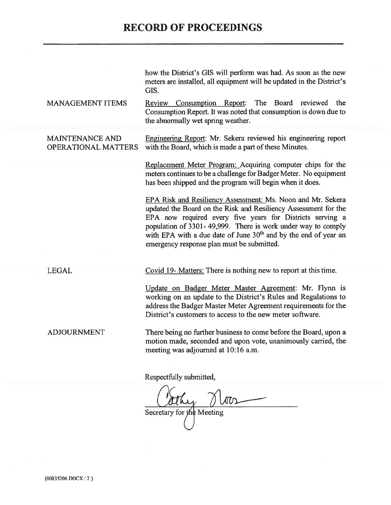# **RECORD OF PROCEEDINGS**

|                                               | how the District's GIS will perform was had. As soon as the new<br>meters are installed, all equipment will be updated in the District's<br>GIS.                                                                                                                                                                                                                                         |
|-----------------------------------------------|------------------------------------------------------------------------------------------------------------------------------------------------------------------------------------------------------------------------------------------------------------------------------------------------------------------------------------------------------------------------------------------|
| <b>MANAGEMENT ITEMS</b>                       | The Board<br>Review Consumption Report:<br>reviewed<br>the<br>Consumption Report. It was noted that consumption is down due to<br>the abnormally wet spring weather.                                                                                                                                                                                                                     |
| <b>MAINTENANCE AND</b><br>OPERATIONAL MATTERS | Engineering Report: Mr. Sekera reviewed his engineering report<br>with the Board, which is made a part of these Minutes.<br>Replacement Meter Program: Acquiring computer chips for the<br>meters continues to be a challenge for Badger Meter. No equipment<br>has been shipped and the program will begin when it does.                                                                |
|                                               | EPA Risk and Resiliency Assessment: Ms. Noon and Mr. Sekera<br>updated the Board on the Risk and Resiliency Assessment for the<br>EPA now required every five years for Districts serving a<br>population of 3301-49,999. There is work under way to comply<br>with EPA with a due date of June 30 <sup>th</sup> and by the end of year an<br>emergency response plan must be submitted. |
| <b>LEGAL</b>                                  | Covid 19- Matters: There is nothing new to report at this time.                                                                                                                                                                                                                                                                                                                          |
|                                               | Update on Badger Meter Master Agreement: Mr. Flynn is<br>working on an update to the District's Rules and Regulations to<br>address the Badger Master Meter Agreement requirements for the<br>District's customers to access to the new meter software.                                                                                                                                  |
| <b>ADJOURNMENT</b>                            | There being no further business to come before the Board, upon a<br>motion made, seconded and upon vote, unanimously carried, the<br>meeting was adjourned at 10:16 a.m.                                                                                                                                                                                                                 |
|                                               | Respectfully submitted,                                                                                                                                                                                                                                                                                                                                                                  |
|                                               | $\overline{a}$                                                                                                                                                                                                                                                                                                                                                                           |

Secretary for the Meeting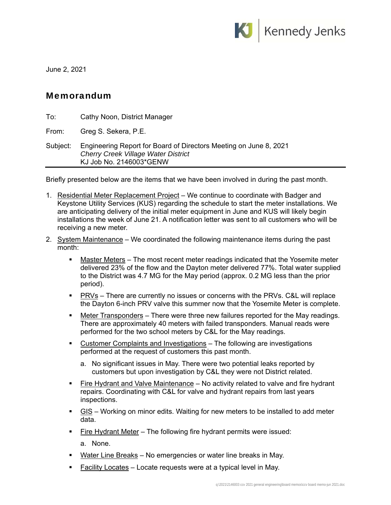

June 2, 2021

### Memorandum

| To:      | Cathy Noon, District Manager                                                                                                               |
|----------|--------------------------------------------------------------------------------------------------------------------------------------------|
| From:    | Greg S. Sekera, P.E.                                                                                                                       |
| Subject: | Engineering Report for Board of Directors Meeting on June 8, 2021<br><b>Cherry Creek Village Water District</b><br>KJ Job No. 2146003*GENW |

Briefly presented below are the items that we have been involved in during the past month.

- 1. Residential Meter Replacement Project We continue to coordinate with Badger and Keystone Utility Services (KUS) regarding the schedule to start the meter installations. We are anticipating delivery of the initial meter equipment in June and KUS will likely begin installations the week of June 21. A notification letter was sent to all customers who will be receiving a new meter.
- 2. System Maintenance We coordinated the following maintenance items during the past month:
	- Master Meters The most recent meter readings indicated that the Yosemite meter delivered 23% of the flow and the Dayton meter delivered 77%. Total water supplied to the District was 4.7 MG for the May period (approx. 0.2 MG less than the prior period).
	- PRVs There are currently no issues or concerns with the PRVs. C&L will replace the Dayton 6-inch PRV valve this summer now that the Yosemite Meter is complete.
	- **Meter Transponders** There were three new failures reported for the May readings. There are approximately 40 meters with failed transponders. Manual reads were performed for the two school meters by C&L for the May readings.
	- Customer Complaints and Investigations The following are investigations performed at the request of customers this past month.
		- a. No significant issues in May. There were two potential leaks reported by customers but upon investigation by C&L they were not District related.
	- **Fire Hydrant and Valve Maintenance** No activity related to valve and fire hydrant repairs. Coordinating with C&L for valve and hydrant repairs from last years inspections.
	- GIS Working on minor edits. Waiting for new meters to be installed to add meter data.
	- Fire Hydrant Meter The following fire hydrant permits were issued:
		- a. None.
	- **Water Line Breaks** No emergencies or water line breaks in May.
	- Facility Locates Locate requests were at a typical level in May.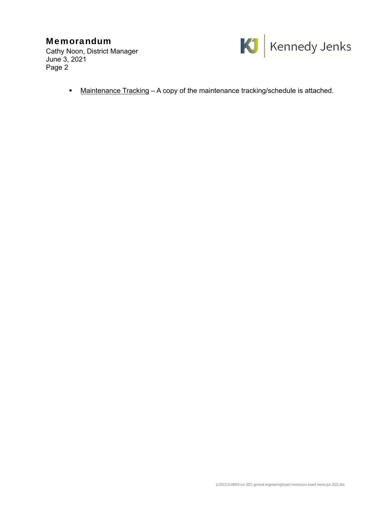## Memorandum

Cathy Noon, District Manager June 3, 2021 Page 2



■ Maintenance Tracking – A copy of the maintenance tracking/schedule is attached.